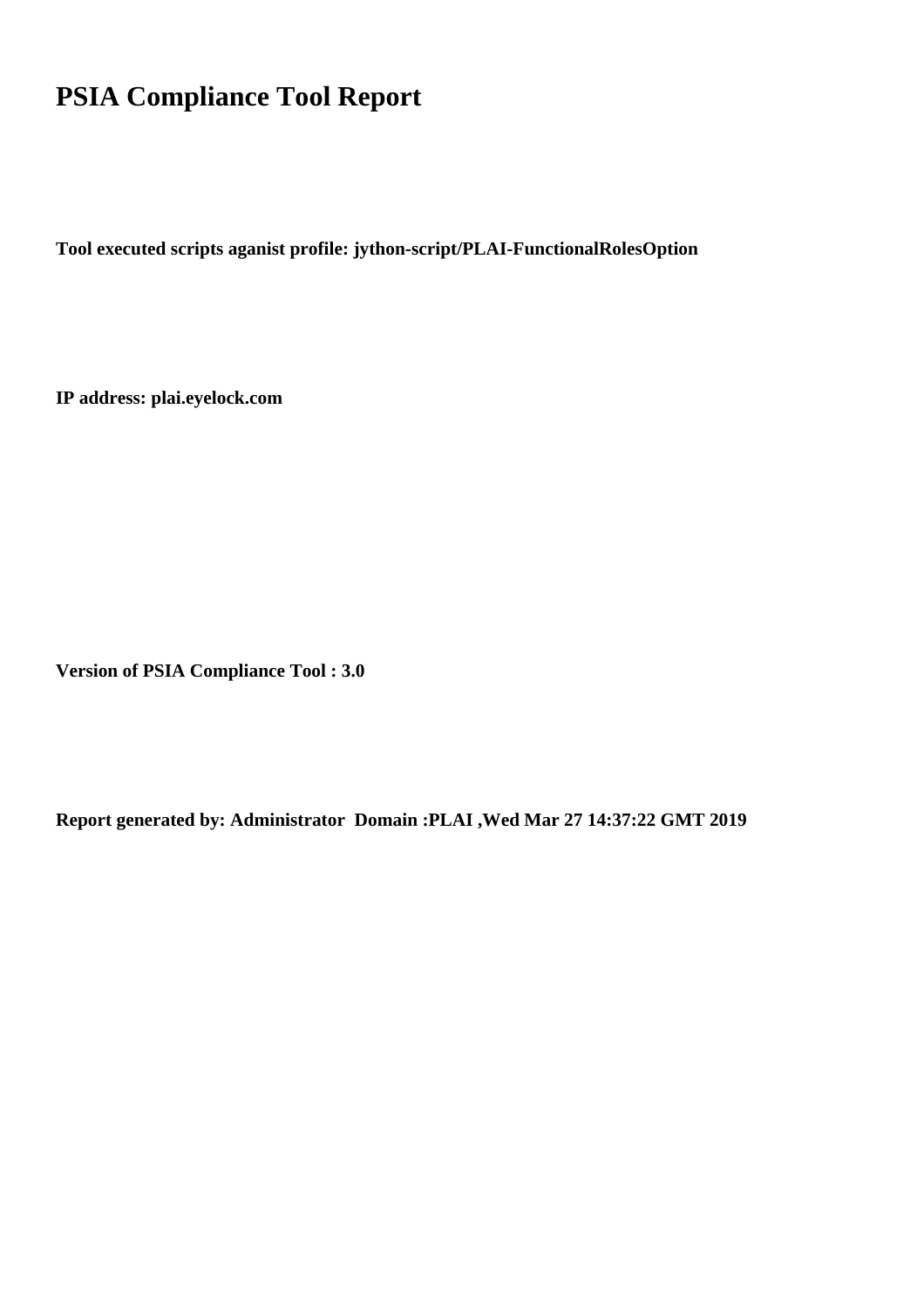## **PSIA Compliance Tool Report**

**Tool executed scripts aganist profile: jython-script/PLAI-FunctionalRolesOption**

**IP address: plai.eyelock.com**

**Version of PSIA Compliance Tool : 3.0**

**Report generated by: Administrator Domain :PLAI ,Wed Mar 27 14:37:22 GMT 2019**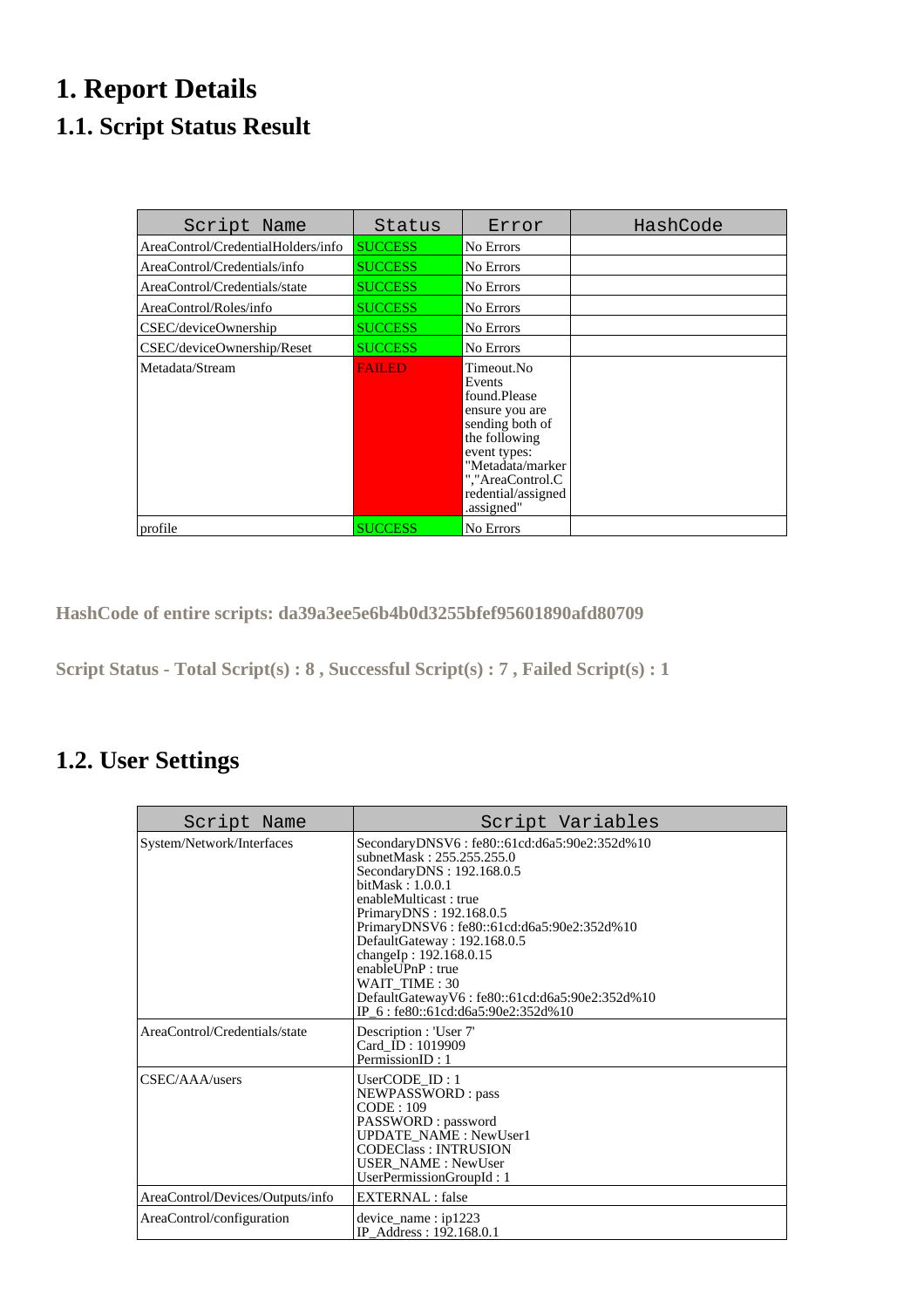## **1. Report Details 1.1. Script Status Result**

| Script Name                        | Status         | Error                                                                                                                                                                                  | HashCode |
|------------------------------------|----------------|----------------------------------------------------------------------------------------------------------------------------------------------------------------------------------------|----------|
| AreaControl/CredentialHolders/info | <b>SUCCESS</b> | No Errors                                                                                                                                                                              |          |
| AreaControl/Credentials/info       | <b>SUCCESS</b> | No Errors                                                                                                                                                                              |          |
| AreaControl/Credentials/state      | <b>SUCCESS</b> | No Errors                                                                                                                                                                              |          |
| AreaControl/Roles/info             | <b>SUCCESS</b> | No Errors                                                                                                                                                                              |          |
| CSEC/deviceOwnership               | <b>SUCCESS</b> | No Errors                                                                                                                                                                              |          |
| CSEC/deviceOwnership/Reset         | <b>SUCCESS</b> | No Errors                                                                                                                                                                              |          |
| Metadata/Stream                    | FAILED         | Timeout.No<br>Events<br>found.Please<br>ensure you are<br>sending both of<br>the following<br>event types:<br>"Metadata/marker<br>","AreaControl.C<br>redential/assigned<br>.assigned" |          |
| profile                            | <b>SUCCESS</b> | No Errors                                                                                                                                                                              |          |

**HashCode of entire scripts: da39a3ee5e6b4b0d3255bfef95601890afd80709**

**Script Status - Total Script(s) : 8 , Successful Script(s) : 7 , Failed Script(s) : 1** 

## **1.2. User Settings**

| Script Name                      | Script Variables                                                                                                                                                                                                                                                                                                                                                                                                              |
|----------------------------------|-------------------------------------------------------------------------------------------------------------------------------------------------------------------------------------------------------------------------------------------------------------------------------------------------------------------------------------------------------------------------------------------------------------------------------|
| System/Network/Interfaces        | SecondaryDNSV6: fe80::61cd:d6a5:90e2:352d%10<br>subnetMask: 255.255.255.0<br>Secondary DNS: 192.168.0.5<br>bitMask : 1.0.0.1<br>enableMulticast: true<br>PrimaryDNS: 192.168.0.5<br>PrimaryDNSV6: fe80::61cd:d6a5:90e2:352d%10<br>DefaultGateway: 192.168.0.5<br>changeIp: 192.168.0.15<br>enablel <i>PnP</i> : true<br>WAIT TIME: 30<br>DefaultGatewayV6: fe80::61cd:d6a5:90e2:352d%10<br>IP_6: fe80::61cd:d6a5:90e2:352d%10 |
| AreaControl/Credentials/state    | Description : 'User 7'<br>Card ID: 1019909<br>PermissionID: 1                                                                                                                                                                                                                                                                                                                                                                 |
| CSEC/AAA/users                   | UserCODE $ID:1$<br>NEWPASSWORD: pass<br>CODE: 109<br>PASSWORD: password<br><b>UPDATE NAME: NewUser1</b><br><b>CODEClass: INTRUSION</b><br><b>USER_NAME: NewUser</b><br>UserPermissionGroupId: 1                                                                                                                                                                                                                               |
| AreaControl/Devices/Outputs/info | <b>EXTERNAL</b> : false                                                                                                                                                                                                                                                                                                                                                                                                       |
| AreaControl/configuration        | $device_name : ip1223$<br>IP Address: 192.168.0.1                                                                                                                                                                                                                                                                                                                                                                             |